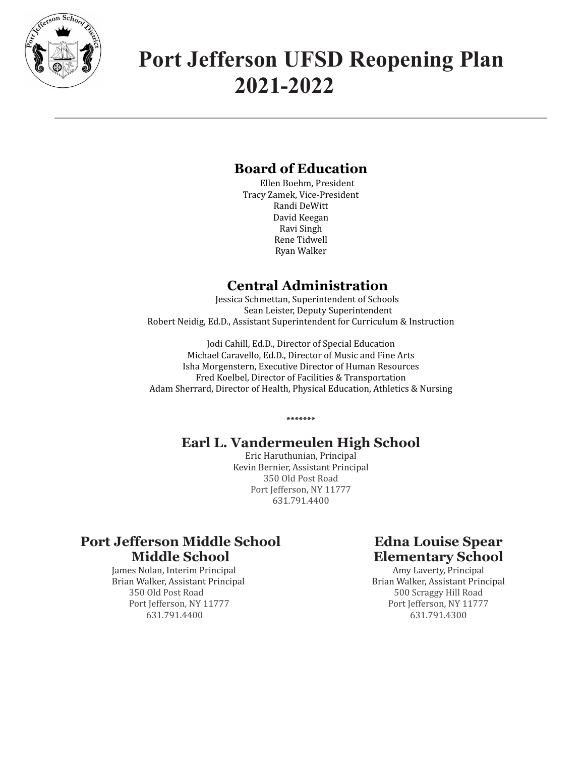

# **Port Jefferson UFSD Reopening Plan 2021-2022**

# **Board of Education**

Ellen Boehm, President Tracy Zamek, Vice-President Randi DeWitt David Keegan Ravi Singh Rene Tidwell Ryan Walker

# **Central Administration**

Jessica Schmettan, Superintendent of Schools Sean Leister, Deputy Superintendent Robert Neidig, Ed.D., Assistant Superintendent for Curriculum & Instruction

Jodi Cahill, Ed.D., Director of Special Education Michael Caravello, Ed.D., Director of Music and Fine Arts Isha Morgenstern, Executive Director of Human Resources Fred Koelbel, Director of Facilities & Transportation Adam Sherrard, Director of Health, Physical Education, Athletics & Nursing

# **Earl L. Vandermeulen High School**

**\*\*\*\*\*\*\***

Eric Haruthunian, Principal Kevin Bernier, Assistant Principal 350 Old Post Road Port Jefferson, NY 11777 631.791.4400

# **Port Jefferson Middle School Middle School**

James Nolan, Interim Principal Brian Walker, Assistant Principal 350 Old Post Road Port Jefferson, NY 11777 631.791.4400

# **Edna Louise Spear Elementary School**

Amy Laverty, Principal Brian Walker, Assistant Principal 500 Scraggy Hill Road Port Jefferson, NY 11777 631.791.4300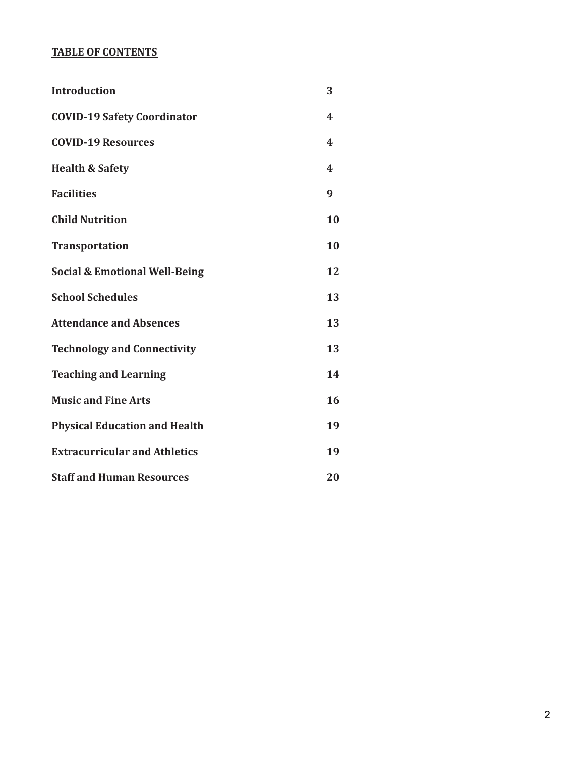# **TABLE OF CONTENTS**

| <b>Introduction</b>                      | 3                       |
|------------------------------------------|-------------------------|
| <b>COVID-19 Safety Coordinator</b>       | $\boldsymbol{4}$        |
| <b>COVID-19 Resources</b>                | $\boldsymbol{4}$        |
| <b>Health &amp; Safety</b>               | $\overline{\mathbf{4}}$ |
| <b>Facilities</b>                        | 9                       |
| <b>Child Nutrition</b>                   | 10                      |
| <b>Transportation</b>                    | 10                      |
| <b>Social &amp; Emotional Well-Being</b> | 12                      |
| <b>School Schedules</b>                  | 13                      |
| <b>Attendance and Absences</b>           | 13                      |
| <b>Technology and Connectivity</b>       | 13                      |
| <b>Teaching and Learning</b>             | 14                      |
| <b>Music and Fine Arts</b>               | 16                      |
| <b>Physical Education and Health</b>     | 19                      |
| <b>Extracurricular and Athletics</b>     | 19                      |
| <b>Staff and Human Resources</b>         | 20                      |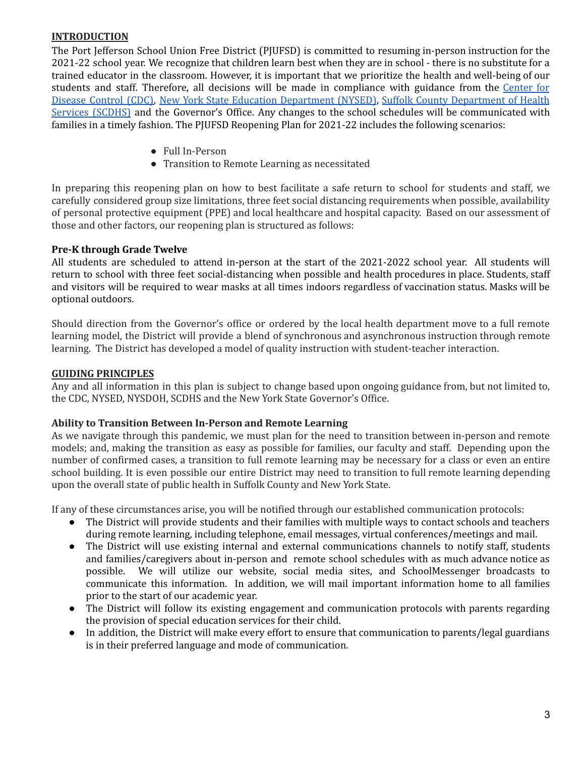# **INTRODUCTION**

The Port Jefferson School Union Free District (PJUFSD) is committed to resuming in-person instruction for the 2021-22 school year. We recognize that children learn best when they are in school - there is no substitute for a trained educator in the classroom. However, it is important that we prioritize the health and well-being of our students and staff. Therefore, all decisions will be made in compliance with guidance from the Center for Disease Control (CDC), New York State Education Department (NYSED), Suffolk County Department of Health Services (SCDHS) and the Governor's Office. Any changes to the school schedules will be communicated with families in a timely fashion. The PJUFSD Reopening Plan for 2021-22 includes the following scenarios:

- Full In-Person
- Transition to Remote Learning as necessitated

In preparing this reopening plan on how to best facilitate a safe return to school for students and staff, we carefully considered group size limitations, three feet social distancing requirements when possible, availability of personal protective equipment (PPE) and local healthcare and hospital capacity. Based on our assessment of those and other factors, our reopening plan is structured as follows:

# **Pre-K through Grade Twelve**

All students are scheduled to attend in-person at the start of the 2021-2022 school year. All students will return to school with three feet social-distancing when possible and health procedures in place. Students, staff and visitors will be required to wear masks at all times indoors regardless of vaccination status. Masks will be optional outdoors.

Should direction from the Governor's office or ordered by the local health department move to a full remote learning model, the District will provide a blend of synchronous and asynchronous instruction through remote learning. The District has developed a model of quality instruction with student-teacher interaction.

## **GUIDING PRINCIPLES**

Any and all information in this plan is subject to change based upon ongoing guidance from, but not limited to, the CDC, NYSED, NYSDOH, SCDHS and the New York State Governor's Office.

#### **Ability to Transition Between In-Person and Remote Learning**

As we navigate through this pandemic, we must plan for the need to transition between in-person and remote models; and, making the transition as easy as possible for families, our faculty and staff. Depending upon the number of confirmed cases, a transition to full remote learning may be necessary for a class or even an entire school building. It is even possible our entire District may need to transition to full remote learning depending upon the overall state of public health in Suffolk County and New York State.

If any of these circumstances arise, you will be notified through our established communication protocols:

- The District will provide students and their families with multiple ways to contact schools and teachers during remote learning, including telephone, email messages, virtual conferences/meetings and mail.
- The District will use existing internal and external communications channels to notify staff, students and families/caregivers about in-person and remote school schedules with as much advance notice as possible. We will utilize our website, social media sites, and SchoolMessenger broadcasts to communicate this information. In addition, we will mail important information home to all families prior to the start of our academic year.
- The District will follow its existing engagement and communication protocols with parents regarding the provision of special education services for their child.
- In addition, the District will make every effort to ensure that communication to parents/legal guardians is in their preferred language and mode of communication.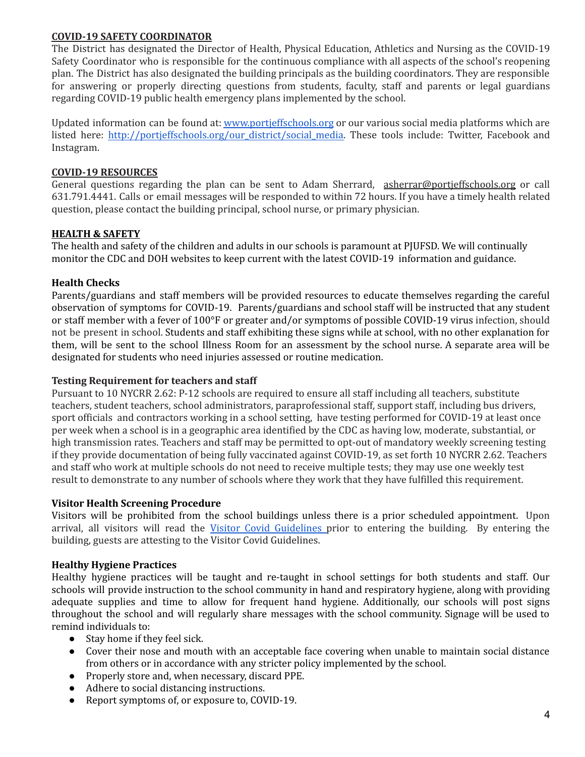# **COVID-19 SAFETY COORDINATOR**

The District has designated the Director of Health, Physical Education, Athletics and Nursing as the COVID-19 Safety Coordinator who is responsible for the continuous compliance with all aspects of the school's reopening plan. The District has also designated the building principals as the building coordinators. They are responsible for answering or properly directing questions from students, faculty, staff and parents or legal guardians regarding COVID-19 public health emergency plans implemented by the school.

Updated information can be found at: www.portjeffschools.org or our various social media platforms which are listed here: http://portjeffschools.org/our\_district/social\_media. These tools include: Twitter, Facebook and Instagram.

## **COVID-19 RESOURCES**

General questions regarding the plan can be sent to Adam Sherrard, asherrar@portjeffschools.org or call 631.791.4441. Calls or email messages will be responded to within 72 hours. If you have a timely health related question, please contact the building principal, school nurse, or primary physician.

# **HEALTH & SAFETY**

The health and safety of the children and adults in our schools is paramount at PJUFSD. We will continually monitor the CDC and DOH websites to keep current with the latest COVID-19 information and guidance.

# **Health Checks**

Parents/guardians and staff members will be provided resources to educate themselves regarding the careful observation of symptoms for COVID-19. Parents/guardians and school staff will be instructed that any student or staff member with a fever of 100°F or greater and/or symptoms of possible COVID-19 virus infection, should not be present in school. Students and staff exhibiting these signs while at school, with no other explanation for them, will be sent to the school Illness Room for an assessment by the school nurse. A separate area will be designated for students who need injuries assessed or routine medication.

# **Testing Requirement for teachers and staff**

Pursuant to 10 NYCRR 2.62: P-12 schools are required to ensure all staff including all teachers, substitute teachers, student teachers, school administrators, paraprofessional staff, support staff, including bus drivers, sport officials and contractors working in a school setting, have testing performed for COVID-19 at least once per week when a school is in a geographic area identified by the CDC as having low, moderate, substantial, or high transmission rates. Teachers and staff may be permitted to opt-out of mandatory weekly screening testing if they provide documentation of being fully vaccinated against COVID-19, as set forth 10 NYCRR 2.62. Teachers and staff who work at multiple schools do not need to receive multiple tests; they may use one weekly test result to demonstrate to any number of schools where they work that they have fulfilled this requirement.

# **Visitor Health Screening Procedure**

Visitors will be prohibited from the school buildings unless there is a prior scheduled appointment. Upon arrival, all visitors will read the Visitor Covid Guidelines prior to entering the building. By entering the building, guests are attesting to the Visitor Covid Guidelines.

# **Healthy Hygiene Practices**

Healthy hygiene practices will be taught and re-taught in school settings for both students and staff. Our schools will provide instruction to the school community in hand and respiratory hygiene, along with providing adequate supplies and time to allow for frequent hand hygiene. Additionally, our schools will post signs throughout the school and will regularly share messages with the school community. Signage will be used to remind individuals to:

- Stay home if they feel sick.
- Cover their nose and mouth with an acceptable face covering when unable to maintain social distance from others or in accordance with any stricter policy implemented by the school.
- Properly store and, when necessary, discard PPE.
- Adhere to social distancing instructions.
- Report symptoms of, or exposure to, COVID-19.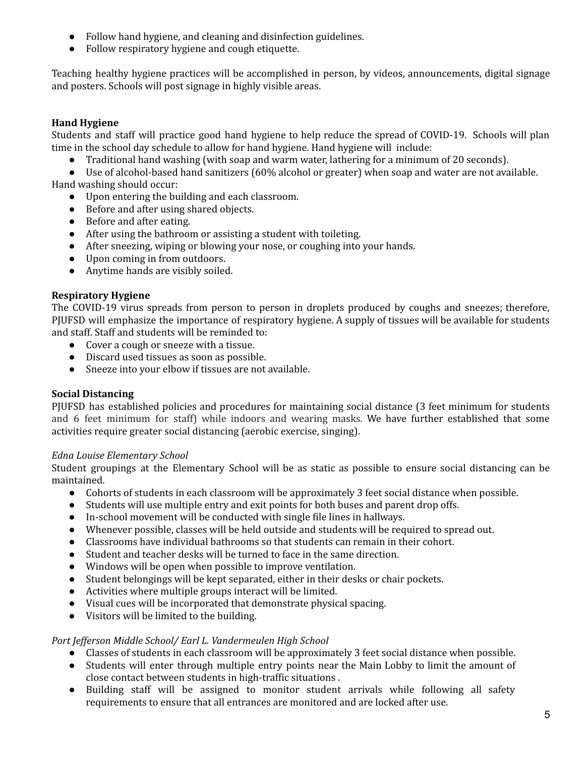- Follow hand hygiene, and cleaning and disinfection guidelines.
- Follow respiratory hygiene and cough etiquette.

Teaching healthy hygiene practices will be accomplished in person, by videos, announcements, digital signage and posters. Schools will post signage in highly visible areas.

# **Hand Hygiene**

Students and staff will practice good hand hygiene to help reduce the spread of COVID-19. Schools will plan time in the school day schedule to allow for hand hygiene. Hand hygiene will include:

● Traditional hand washing (with soap and warm water, lathering for a minimum of 20 seconds).

● Use of alcohol-based hand sanitizers (60% alcohol or greater) when soap and water are not available.

Hand washing should occur:

- Upon entering the building and each classroom.
- Before and after using shared objects.
- Before and after eating.
- After using the bathroom or assisting a student with toileting.
- After sneezing, wiping or blowing your nose, or coughing into your hands.
- Upon coming in from outdoors.
- Anytime hands are visibly soiled.

#### **Respiratory Hygiene**

The COVID-19 virus spreads from person to person in droplets produced by coughs and sneezes; therefore, PJUFSD will emphasize the importance of respiratory hygiene. A supply of tissues will be available for students and staff. Staff and students will be reminded to:

- Cover a cough or sneeze with a tissue.
- Discard used tissues as soon as possible.
- Sneeze into your elbow if tissues are not available.

#### **Social Distancing**

PJUFSD has established policies and procedures for maintaining social distance (3 feet minimum for students and 6 feet minimum for staff) while indoors and wearing masks. We have further established that some activities require greater social distancing (aerobic exercise, singing).

#### *Edna Louise Elementary School*

Student groupings at the Elementary School will be as static as possible to ensure social distancing can be maintained.

- Cohorts of students in each classroom will be approximately 3 feet social distance when possible.
- Students will use multiple entry and exit points for both buses and parent drop offs.
- In-school movement will be conducted with single file lines in hallways.
- Whenever possible, classes will be held outside and students will be required to spread out.
- Classrooms have individual bathrooms so that students can remain in their cohort.
- Student and teacher desks will be turned to face in the same direction.
- Windows will be open when possible to improve ventilation.
- Student belongings will be kept separated, either in their desks or chair pockets.
- Activities where multiple groups interact will be limited.
- Visual cues will be incorporated that demonstrate physical spacing.
- Visitors will be limited to the building.

#### *Port Jef erson Middle School/ Earl L. Vandermeulen High School*

- Classes of students in each classroom will be approximately 3 feet social distance when possible.
- Students will enter through multiple entry points near the Main Lobby to limit the amount of close contact between students in high-traffic situations .
- Building staff will be assigned to monitor student arrivals while following all safety requirements to ensure that all entrances are monitored and are locked after use.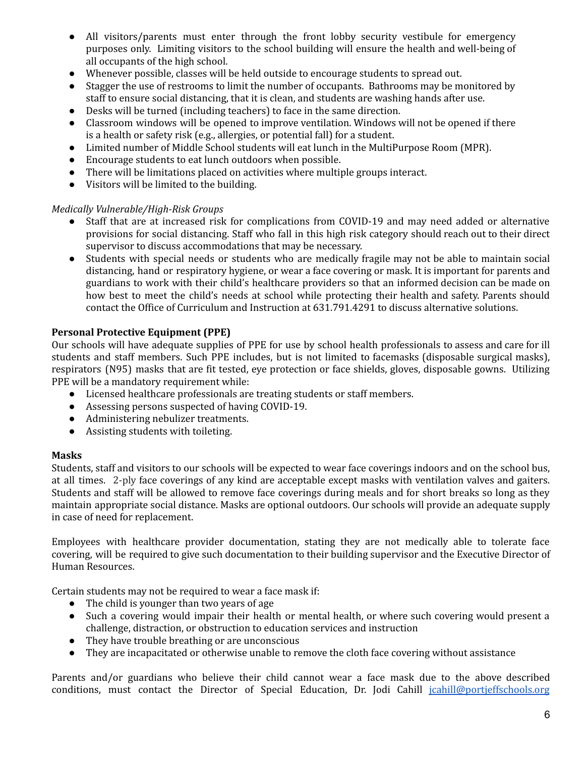- All visitors/parents must enter through the front lobby security vestibule for emergency purposes only. Limiting visitors to the school building will ensure the health and well-being of all occupants of the high school.
- Whenever possible, classes will be held outside to encourage students to spread out.
- Stagger the use of restrooms to limit the number of occupants. Bathrooms may be monitored by staff to ensure social distancing, that it is clean, and students are washing hands after use.
- Desks will be turned (including teachers) to face in the same direction.
- Classroom windows will be opened to improve ventilation. Windows will not be opened if there is a health or safety risk (e.g., allergies, or potential fall) for a student.
- Limited number of Middle School students will eat lunch in the MultiPurpose Room (MPR).
- Encourage students to eat lunch outdoors when possible.
- There will be limitations placed on activities where multiple groups interact.
- Visitors will be limited to the building.

#### *Medically Vulnerable/High-Risk Groups*

- Staff that are at increased risk for complications from COVID-19 and may need added or alternative provisions for social distancing. Staff who fall in this high risk category should reach out to their direct supervisor to discuss accommodations that may be necessary.
- Students with special needs or students who are medically fragile may not be able to maintain social distancing, hand or respiratory hygiene, or wear a face covering or mask. It is important for parents and guardians to work with their child's healthcare providers so that an informed decision can be made on how best to meet the child's needs at school while protecting their health and safety. Parents should contact the Office of Curriculum and Instruction at 631.791.4291 to discuss alternative solutions.

# **Personal Protective Equipment (PPE)**

Our schools will have adequate supplies of PPE for use by school health professionals to assess and care for ill students and staff members. Such PPE includes, but is not limited to facemasks (disposable surgical masks), respirators (N95) masks that are fit tested, eye protection or face shields, gloves, disposable gowns. Utilizing PPE will be a mandatory requirement while:

- Licensed healthcare professionals are treating students or staff members.
- Assessing persons suspected of having COVID-19.
- Administering nebulizer treatments.
- Assisting students with toileting.

#### **Masks**

Students, staff and visitors to our schools will be expected to wear face coverings indoors and on the school bus, at all times. 2-ply face coverings of any kind are acceptable except masks with ventilation valves and gaiters. Students and staff will be allowed to remove face coverings during meals and for short breaks so long as they maintain appropriate social distance. Masks are optional outdoors. Our schools will provide an adequate supply in case of need for replacement.

Employees with healthcare provider documentation, stating they are not medically able to tolerate face covering, will be required to give such documentation to their building supervisor and the Executive Director of Human Resources.

Certain students may not be required to wear a face mask if:

- The child is younger than two years of age
- Such a covering would impair their health or mental health, or where such covering would present a challenge, distraction, or obstruction to education services and instruction
- They have trouble breathing or are unconscious
- They are incapacitated or otherwise unable to remove the cloth face covering without assistance

Parents and/or guardians who believe their child cannot wear a face mask due to the above described conditions, must contact the Director of Special Education, Dr. Jodi Cahill jcahill@portjeffschools.org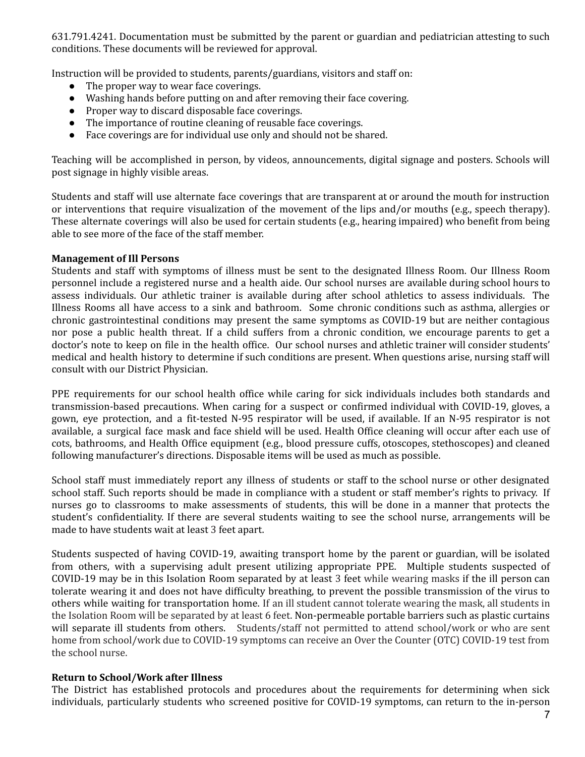631.791.4241. Documentation must be submitted by the parent or guardian and pediatrician attesting to such conditions. These documents will be reviewed for approval.

Instruction will be provided to students, parents/guardians, visitors and staff on:

- The proper way to wear face coverings.
- Washing hands before putting on and after removing their face covering.
- Proper way to discard disposable face coverings.
- The importance of routine cleaning of reusable face coverings.
- Face coverings are for individual use only and should not be shared.

Teaching will be accomplished in person, by videos, announcements, digital signage and posters. Schools will post signage in highly visible areas.

Students and staff will use alternate face coverings that are transparent at or around the mouth for instruction or interventions that require visualization of the movement of the lips and/or mouths (e.g., speech therapy). These alternate coverings will also be used for certain students (e.g., hearing impaired) who benefit from being able to see more of the face of the staff member.

#### **Management of Ill Persons**

Students and staff with symptoms of illness must be sent to the designated Illness Room. Our Illness Room personnel include a registered nurse and a health aide. Our school nurses are available during school hours to assess individuals. Our athletic trainer is available during after school athletics to assess individuals. The Illness Rooms all have access to a sink and bathroom. Some chronic conditions such as asthma, allergies or chronic gastrointestinal conditions may present the same symptoms as COVID-19 but are neither contagious nor pose a public health threat. If a child suffers from a chronic condition, we encourage parents to get a doctor's note to keep on file in the health office. Our school nurses and athletic trainer will consider students' medical and health history to determine if such conditions are present. When questions arise, nursing staff will consult with our District Physician.

PPE requirements for our school health office while caring for sick individuals includes both standards and transmission-based precautions. When caring for a suspect or confirmed individual with COVID-19, gloves, a gown, eye protection, and a fit-tested N-95 respirator will be used, if available. If an N-95 respirator is not available, a surgical face mask and face shield will be used. Health Office cleaning will occur after each use of cots, bathrooms, and Health Office equipment (e.g., blood pressure cuffs, otoscopes, stethoscopes) and cleaned following manufacturer's directions. Disposable items will be used as much as possible.

School staff must immediately report any illness of students or staff to the school nurse or other designated school staff. Such reports should be made in compliance with a student or staff member's rights to privacy. If nurses go to classrooms to make assessments of students, this will be done in a manner that protects the student's confidentiality. If there are several students waiting to see the school nurse, arrangements will be made to have students wait at least 3 feet apart.

Students suspected of having COVID-19, awaiting transport home by the parent or guardian, will be isolated from others, with a supervising adult present utilizing appropriate PPE. Multiple students suspected of COVID-19 may be in this Isolation Room separated by at least 3 feet while wearing masks if the ill person can tolerate wearing it and does not have difficulty breathing, to prevent the possible transmission of the virus to others while waiting for transportation home. If an ill student cannot tolerate wearing the mask, all students in the Isolation Room will be separated by at least 6 feet. Non-permeable portable barriers such as plastic curtains will separate ill students from others. Students/staff not permitted to attend school/work or who are sent home from school/work due to COVID-19 symptoms can receive an Over the Counter (OTC) COVID-19 test from the school nurse.

#### **Return to School/Work after Illness**

The District has established protocols and procedures about the requirements for determining when sick individuals, particularly students who screened positive for COVID-19 symptoms, can return to the in-person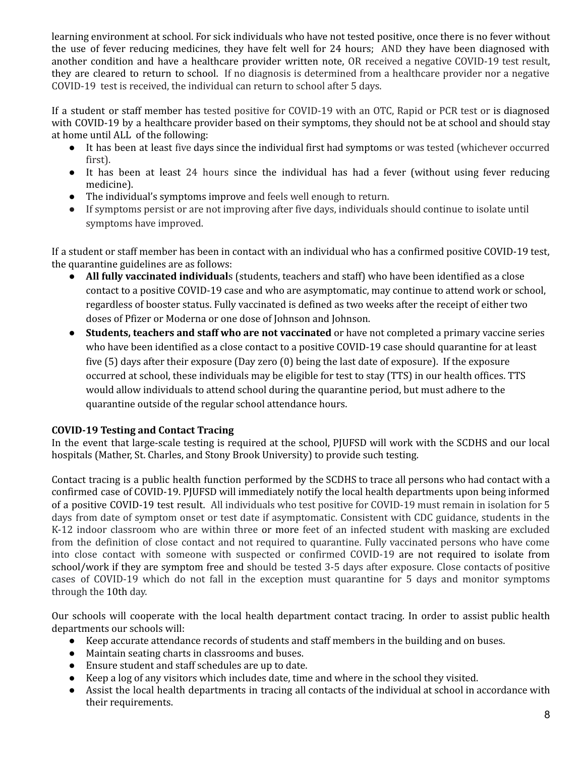learning environment at school. For sick individuals who have not tested positive, once there is no fever without the use of fever reducing medicines, they have felt well for 24 hours; AND they have been diagnosed with another condition and have a healthcare provider written note, OR received a negative COVID-19 test result, they are cleared to return to school. If no diagnosis is determined from a healthcare provider nor a negative COVID-19 test is received, the individual can return to school after 5 days.

If a student or staff member has tested positive for COVID-19 with an OTC, Rapid or PCR test or is diagnosed with COVID-19 by a healthcare provider based on their symptoms, they should not be at school and should stay at home until ALL of the following:

- It has been at least five days since the individual first had symptoms or was tested (whichever occurred first).
- It has been at least 24 hours since the individual has had a fever (without using fever reducing medicine).
- The individual's symptoms improve and feels well enough to return.
- If symptoms persist or are not improving after five days, individuals should continue to isolate until symptoms have improved.

If a student or staff member has been in contact with an individual who has a confirmed positive COVID-19 test, the quarantine guidelines are as follows:

- **All fully vaccinated individual**s (students, teachers and staff) who have been identified as a close contact to a positive COVID-19 case and who are asymptomatic, may continue to attend work or school, regardless of booster status. Fully vaccinated is defined as two weeks after the receipt of either two doses of Pfizer or Moderna or one dose of Johnson and Johnson.
- **Students, teachers and staff who are not vaccinated** or have not completed a primary vaccine series who have been identified as a close contact to a positive COVID-19 case should quarantine for at least five (5) days after their exposure (Day zero (0) being the last date of exposure). If the exposure occurred at school, these individuals may be eligible for test to stay (TTS) in our health offices. TTS would allow individuals to attend school during the quarantine period, but must adhere to the quarantine outside of the regular school attendance hours.

# **COVID-19 Testing and Contact Tracing**

In the event that large-scale testing is required at the school, PJUFSD will work with the SCDHS and our local hospitals (Mather, St. Charles, and Stony Brook University) to provide such testing.

Contact tracing is a public health function performed by the SCDHS to trace all persons who had contact with a confirmed case of COVID-19. PJUFSD will immediately notify the local health departments upon being informed of a positive COVID-19 test result. All individuals who test positive for COVID-19 must remain in isolation for 5 days from date of symptom onset or test date if asymptomatic. Consistent with CDC guidance, students in the K-12 indoor classroom who are within three or more feet of an infected student with masking are excluded from the definition of close contact and not required to quarantine. Fully vaccinated persons who have come into close contact with someone with suspected or confirmed COVID-19 are not required to isolate from school/work if they are symptom free and should be tested 3-5 days after exposure. Close contacts of positive cases of COVID-19 which do not fall in the exception must quarantine for 5 days and monitor symptoms through the 10th day.

Our schools will cooperate with the local health department contact tracing. In order to assist public health departments our schools will:

- Keep accurate attendance records of students and staff members in the building and on buses.
- Maintain seating charts in classrooms and buses.
- Ensure student and staff schedules are up to date.
- Keep a log of any visitors which includes date, time and where in the school they visited.
- Assist the local health departments in tracing all contacts of the individual at school in accordance with their requirements.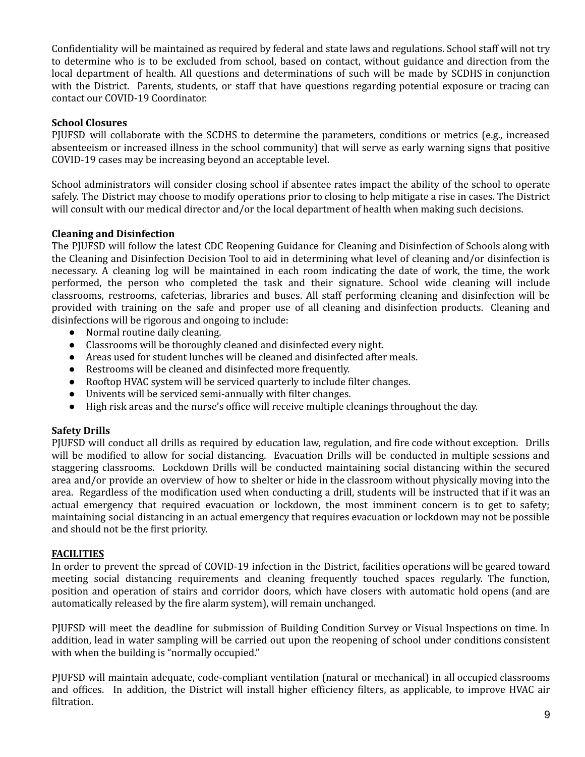Confidentiality will be maintained as required by federal and state laws and regulations. School staff will not try to determine who is to be excluded from school, based on contact, without guidance and direction from the local department of health. All questions and determinations of such will be made by SCDHS in conjunction with the District. Parents, students, or staff that have questions regarding potential exposure or tracing can contact our COVID-19 Coordinator.

#### **School Closures**

PJUFSD will collaborate with the SCDHS to determine the parameters, conditions or metrics (e.g., increased absenteeism or increased illness in the school community) that will serve as early warning signs that positive COVID-19 cases may be increasing beyond an acceptable level.

School administrators will consider closing school if absentee rates impact the ability of the school to operate safely. The District may choose to modify operations prior to closing to help mitigate a rise in cases. The District will consult with our medical director and/or the local department of health when making such decisions.

#### **Cleaning and Disinfection**

The PJUFSD will follow the latest CDC Reopening Guidance for Cleaning and Disinfection of Schools along with the Cleaning and Disinfection Decision Tool to aid in determining what level of cleaning and/or disinfection is necessary. A cleaning log will be maintained in each room indicating the date of work, the time, the work performed, the person who completed the task and their signature. School wide cleaning will include classrooms, restrooms, cafeterias, libraries and buses. All staff performing cleaning and disinfection will be provided with training on the safe and proper use of all cleaning and disinfection products. Cleaning and disinfections will be rigorous and ongoing to include:

- Normal routine daily cleaning.
- Classrooms will be thoroughly cleaned and disinfected every night.
- Areas used for student lunches will be cleaned and disinfected after meals.
- Restrooms will be cleaned and disinfected more frequently.
- Rooftop HVAC system will be serviced quarterly to include filter changes.
- Univents will be serviced semi-annually with filter changes.
- High risk areas and the nurse's office will receive multiple cleanings throughout the day.

#### **Safety Drills**

PJUFSD will conduct all drills as required by education law, regulation, and fire code without exception. Drills will be modified to allow for social distancing. Evacuation Drills will be conducted in multiple sessions and staggering classrooms. Lockdown Drills will be conducted maintaining social distancing within the secured area and/or provide an overview of how to shelter or hide in the classroom without physically moving into the area. Regardless of the modification used when conducting a drill, students will be instructed that if it was an actual emergency that required evacuation or lockdown, the most imminent concern is to get to safety; maintaining social distancing in an actual emergency that requires evacuation or lockdown may not be possible and should not be the first priority.

#### **FACILITIES**

In order to prevent the spread of COVID-19 infection in the District, facilities operations will be geared toward meeting social distancing requirements and cleaning frequently touched spaces regularly. The function, position and operation of stairs and corridor doors, which have closers with automatic hold opens (and are automatically released by the fire alarm system), will remain unchanged.

PJUFSD will meet the deadline for submission of Building Condition Survey or Visual Inspections on time. In addition, lead in water sampling will be carried out upon the reopening of school under conditions consistent with when the building is "normally occupied."

PJUFSD will maintain adequate, code-compliant ventilation (natural or mechanical) in all occupied classrooms and offices. In addition, the District will install higher efficiency filters, as applicable, to improve HVAC air filtration.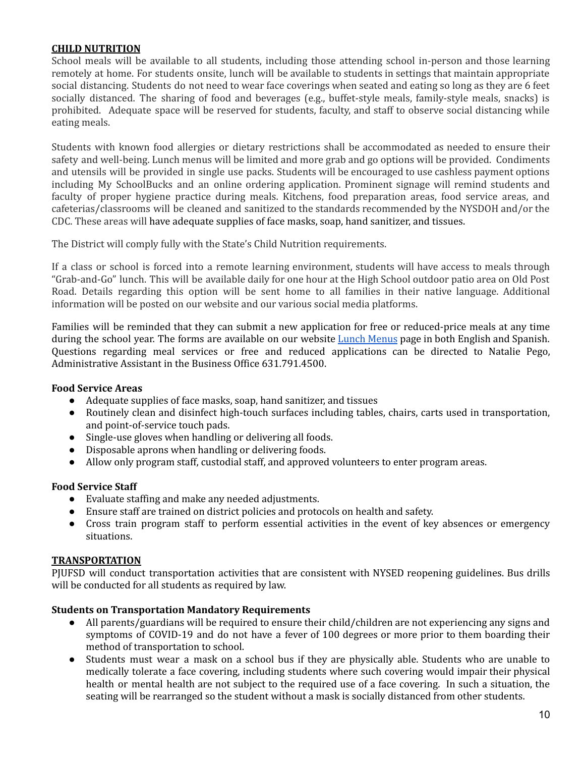#### **CHILD NUTRITION**

School meals will be available to all students, including those attending school in-person and those learning remotely at home. For students onsite, lunch will be available to students in settings that maintain appropriate social distancing. Students do not need to wear face coverings when seated and eating so long as they are 6 feet socially distanced. The sharing of food and beverages (e.g., buffet-style meals, family-style meals, snacks) is prohibited. Adequate space will be reserved for students, faculty, and staff to observe social distancing while eating meals.

Students with known food allergies or dietary restrictions shall be accommodated as needed to ensure their safety and well-being. Lunch menus will be limited and more grab and go options will be provided. Condiments and utensils will be provided in single use packs. Students will be encouraged to use cashless payment options including My SchoolBucks and an online ordering application. Prominent signage will remind students and faculty of proper hygiene practice during meals. Kitchens, food preparation areas, food service areas, and cafeterias/classrooms will be cleaned and sanitized to the standards recommended by the NYSDOH and/or the CDC. These areas will have adequate supplies of face masks, soap, hand sanitizer, and tissues.

The District will comply fully with the State's Child Nutrition requirements.

If a class or school is forced into a remote learning environment, students will have access to meals through "Grab-and-Go" lunch. This will be available daily for one hour at the High School outdoor patio area on Old Post Road. Details regarding this option will be sent home to all families in their native language. Additional information will be posted on our website and our various social media platforms.

Families will be reminded that they can submit a new application for free or reduced-price meals at any time during the school year. The forms are available on our website Lunch Menus page in both English and Spanish. Questions regarding meal services or free and reduced applications can be directed to Natalie Pego, Administrative Assistant in the Business Office 631.791.4500.

#### **Food Service Areas**

- Adequate supplies of face masks, soap, hand sanitizer, and tissues
- Routinely clean and disinfect high-touch surfaces including tables, chairs, carts used in transportation, and point-of-service touch pads.
- Single-use gloves when handling or delivering all foods.
- Disposable aprons when handling or delivering foods.
- Allow only program staff, custodial staff, and approved volunteers to enter program areas.

#### **Food Service Staff**

- Evaluate staffing and make any needed adjustments.
- Ensure staff are trained on district policies and protocols on health and safety.
- Cross train program staff to perform essential activities in the event of key absences or emergency situations.

#### **TRANSPORTATION**

PJUFSD will conduct transportation activities that are consistent with NYSED reopening guidelines. Bus drills will be conducted for all students as required by law.

#### **Students on Transportation Mandatory Requirements**

- All parents/guardians will be required to ensure their child/children are not experiencing any signs and symptoms of COVID-19 and do not have a fever of 100 degrees or more prior to them boarding their method of transportation to school.
- Students must wear a mask on a school bus if they are physically able. Students who are unable to medically tolerate a face covering, including students where such covering would impair their physical health or mental health are not subject to the required use of a face covering. In such a situation, the seating will be rearranged so the student without a mask is socially distanced from other students.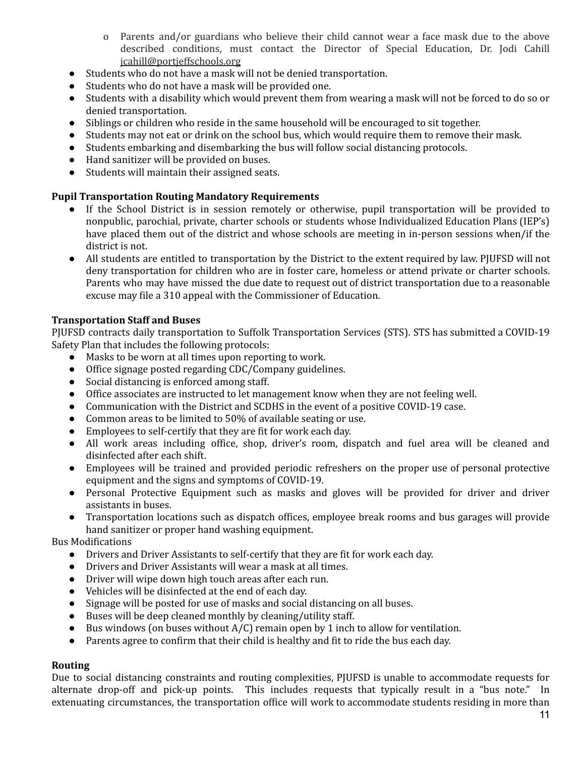- o Parents and/or guardians who believe their child cannot wear a face mask due to the above described conditions, must contact the Director of Special Education, Dr. Jodi Cahill jcahill@portjeffschools.org
- Students who do not have a mask will not be denied transportation.
- Students who do not have a mask will be provided one.
- Students with a disability which would prevent them from wearing a mask will not be forced to do so or denied transportation.
- Siblings or children who reside in the same household will be encouraged to sit together.
- Students may not eat or drink on the school bus, which would require them to remove their mask.
- Students embarking and disembarking the bus will follow social distancing protocols.
- Hand sanitizer will be provided on buses.
- Students will maintain their assigned seats.

#### **Pupil Transportation Routing Mandatory Requirements**

- If the School District is in session remotely or otherwise, pupil transportation will be provided to nonpublic, parochial, private, charter schools or students whose Individualized Education Plans (IEP's) have placed them out of the district and whose schools are meeting in in-person sessions when/if the district is not.
- All students are entitled to transportation by the District to the extent required by law. PJUFSD will not deny transportation for children who are in foster care, homeless or attend private or charter schools. Parents who may have missed the due date to request out of district transportation due to a reasonable excuse may file a 310 appeal with the Commissioner of Education.

# **Transportation Staff and Buses**

PJUFSD contracts daily transportation to Suffolk Transportation Services (STS). STS has submitted a COVID-19 Safety Plan that includes the following protocols:

- Masks to be worn at all times upon reporting to work.
- Office signage posted regarding CDC/Company guidelines.
- Social distancing is enforced among staff.
- Office associates are instructed to let management know when they are not feeling well.
- Communication with the District and SCDHS in the event of a positive COVID-19 case.
- Common areas to be limited to 50% of available seating or use.
- Employees to self-certify that they are fit for work each day.
- All work areas including office, shop, driver's room, dispatch and fuel area will be cleaned and disinfected after each shift.
- Employees will be trained and provided periodic refreshers on the proper use of personal protective equipment and the signs and symptoms of COVID-19.
- Personal Protective Equipment such as masks and gloves will be provided for driver and driver assistants in buses.
- Transportation locations such as dispatch offices, employee break rooms and bus garages will provide hand sanitizer or proper hand washing equipment.

Bus Modifications

- Drivers and Driver Assistants to self-certify that they are fit for work each day.
- Drivers and Driver Assistants will wear a mask at all times.
- Driver will wipe down high touch areas after each run.
- Vehicles will be disinfected at the end of each day.
- Signage will be posted for use of masks and social distancing on all buses.
- Buses will be deep cleaned monthly by cleaning/utility staff.
- $\bullet$  Bus windows (on buses without A/C) remain open by 1 inch to allow for ventilation.
- Parents agree to confirm that their child is healthy and fit to ride the bus each day.

#### **Routing**

Due to social distancing constraints and routing complexities, PJUFSD is unable to accommodate requests for alternate drop-off and pick-up points. This includes requests that typically result in a "bus note." In extenuating circumstances, the transportation office will work to accommodate students residing in more than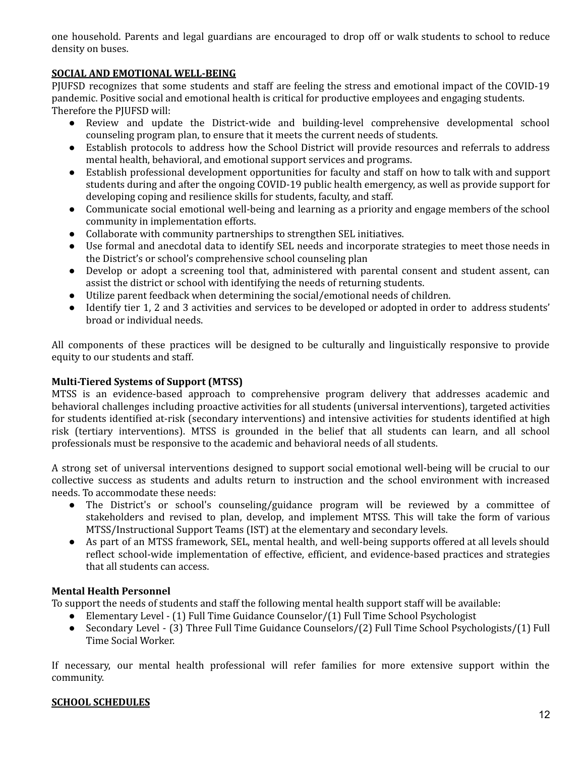one household. Parents and legal guardians are encouraged to drop off or walk students to school to reduce density on buses.

# **SOCIAL AND EMOTIONAL WELL-BEING**

PJUFSD recognizes that some students and staff are feeling the stress and emotional impact of the COVID-19 pandemic. Positive social and emotional health is critical for productive employees and engaging students. Therefore the PJUFSD will:

- Review and update the District-wide and building-level comprehensive developmental school counseling program plan, to ensure that it meets the current needs of students.
- Establish protocols to address how the School District will provide resources and referrals to address mental health, behavioral, and emotional support services and programs.
- Establish professional development opportunities for faculty and staff on how to talk with and support students during and after the ongoing COVID-19 public health emergency, as well as provide support for developing coping and resilience skills for students, faculty, and staff.
- Communicate social emotional well-being and learning as a priority and engage members of the school community in implementation efforts.
- Collaborate with community partnerships to strengthen SEL initiatives.
- Use formal and anecdotal data to identify SEL needs and incorporate strategies to meet those needs in the District's or school's comprehensive school counseling plan
- Develop or adopt a screening tool that, administered with parental consent and student assent, can assist the district or school with identifying the needs of returning students.
- Utilize parent feedback when determining the social/emotional needs of children.
- Identify tier 1, 2 and 3 activities and services to be developed or adopted in order to address students' broad or individual needs.

All components of these practices will be designed to be culturally and linguistically responsive to provide equity to our students and staff.

# **Multi-Tiered Systems of Support (MTSS)**

MTSS is an evidence-based approach to comprehensive program delivery that addresses academic and behavioral challenges including proactive activities for all students (universal interventions), targeted activities for students identified at-risk (secondary interventions) and intensive activities for students identified at high risk (tertiary interventions). MTSS is grounded in the belief that all students can learn, and all school professionals must be responsive to the academic and behavioral needs of all students.

A strong set of universal interventions designed to support social emotional well-being will be crucial to our collective success as students and adults return to instruction and the school environment with increased needs. To accommodate these needs:

- The District's or school's counseling/guidance program will be reviewed by a committee of stakeholders and revised to plan, develop, and implement MTSS. This will take the form of various MTSS/Instructional Support Teams (IST) at the elementary and secondary levels.
- As part of an MTSS framework, SEL, mental health, and well-being supports offered at all levels should reflect school-wide implementation of effective, efficient, and evidence-based practices and strategies that all students can access.

#### **Mental Health Personnel**

To support the needs of students and staff the following mental health support staff will be available:

- Elementary Level (1) Full Time Guidance Counselor/(1) Full Time School Psychologist
- Secondary Level (3) Three Full Time Guidance Counselors/(2) Full Time School Psychologists/(1) Full Time Social Worker.

If necessary, our mental health professional will refer families for more extensive support within the community.

#### **SCHOOL SCHEDULES**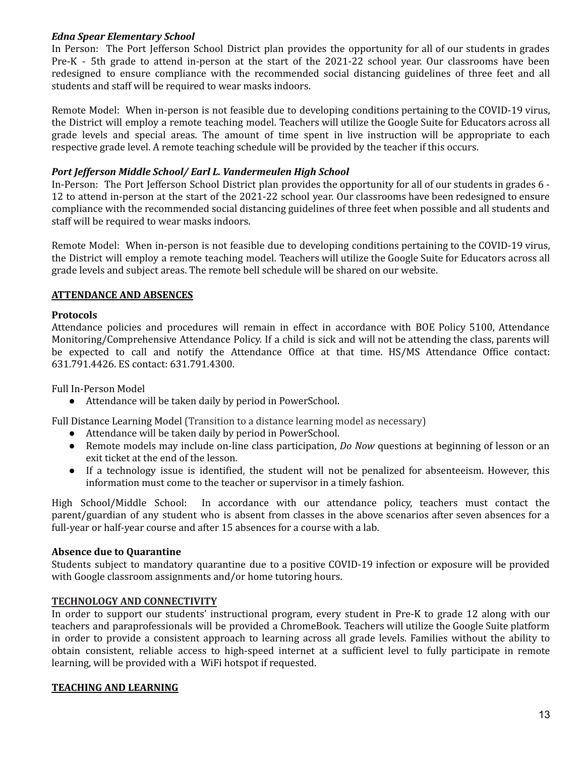#### *Edna Spear Elementary School*

In Person: The Port Jefferson School District plan provides the opportunity for all of our students in grades Pre-K - 5th grade to attend in-person at the start of the 2021-22 school year. Our classrooms have been redesigned to ensure compliance with the recommended social distancing guidelines of three feet and all students and staff will be required to wear masks indoors.

Remote Model: When in-person is not feasible due to developing conditions pertaining to the COVID-19 virus, the District will employ a remote teaching model. Teachers will utilize the Google Suite for Educators across all grade levels and special areas. The amount of time spent in live instruction will be appropriate to each respective grade level. A remote teaching schedule will be provided by the teacher if this occurs.

#### *Port Jefferson Middle School/ Earl L. Vandermeulen High School*

In-Person: The Port Jefferson School District plan provides the opportunity for all of our students in grades 6 - 12 to attend in-person at the start of the 2021-22 school year. Our classrooms have been redesigned to ensure compliance with the recommended social distancing guidelines of three feet when possible and all students and staff will be required to wear masks indoors.

Remote Model: When in-person is not feasible due to developing conditions pertaining to the COVID-19 virus, the District will employ a remote teaching model. Teachers will utilize the Google Suite for Educators across all grade levels and subject areas. The remote bell schedule will be shared on our website.

# **ATTENDANCE AND ABSENCES**

#### **Protocols**

Attendance policies and procedures will remain in effect in accordance with BOE Policy 5100, Attendance Monitoring/Comprehensive Attendance Policy. If a child is sick and will not be attending the class, parents will be expected to call and notify the Attendance Office at that time. HS/MS Attendance Office contact: 631.791.4426. ES contact: 631.791.4300.

Full In-Person Model

● Attendance will be taken daily by period in PowerSchool.

Full Distance Learning Model (Transition to a distance learning model as necessary)

- Attendance will be taken daily by period in PowerSchool.
- Remote models may include on-line class participation, *Do Now* questions at beginning of lesson or an exit ticket at the end of the lesson.
- If a technology issue is identified, the student will not be penalized for absenteeism. However, this information must come to the teacher or supervisor in a timely fashion.

High School/Middle School: In accordance with our attendance policy, teachers must contact the parent/guardian of any student who is absent from classes in the above scenarios after seven absences for a full-year or half-year course and after 15 absences for a course with a lab.

#### **Absence due to Quarantine**

Students subject to mandatory quarantine due to a positive COVID-19 infection or exposure will be provided with Google classroom assignments and/or home tutoring hours.

#### **TECHNOLOGY AND CONNECTIVITY**

In order to support our students' instructional program, every student in Pre-K to grade 12 along with our teachers and paraprofessionals will be provided a ChromeBook. Teachers will utilize the Google Suite platform in order to provide a consistent approach to learning across all grade levels. Families without the ability to obtain consistent, reliable access to high-speed internet at a sufficient level to fully participate in remote learning, will be provided with a WiFi hotspot if requested.

#### **TEACHING AND LEARNING**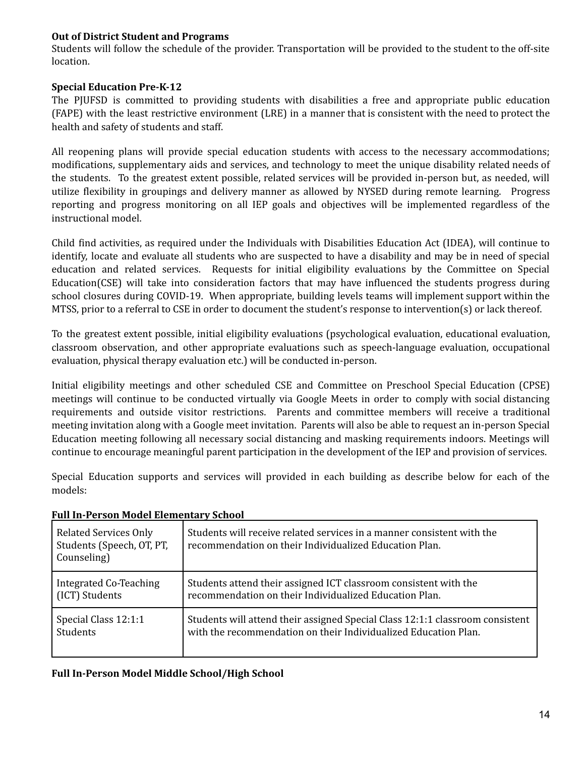# **Out of District Student and Programs**

Students will follow the schedule of the provider. Transportation will be provided to the student to the off-site location.

# **Special Education Pre-K-12**

The PJUFSD is committed to providing students with disabilities a free and appropriate public education (FAPE) with the least restrictive environment (LRE) in a manner that is consistent with the need to protect the health and safety of students and staff.

All reopening plans will provide special education students with access to the necessary accommodations; modifications, supplementary aids and services, and technology to meet the unique disability related needs of the students. To the greatest extent possible, related services will be provided in-person but, as needed, will utilize flexibility in groupings and delivery manner as allowed by NYSED during remote learning. Progress reporting and progress monitoring on all IEP goals and objectives will be implemented regardless of the instructional model.

Child find activities, as required under the Individuals with Disabilities Education Act (IDEA), will continue to identify, locate and evaluate all students who are suspected to have a disability and may be in need of special education and related services. Requests for initial eligibility evaluations by the Committee on Special Education(CSE) will take into consideration factors that may have influenced the students progress during school closures during COVID-19. When appropriate, building levels teams will implement support within the MTSS, prior to a referral to CSE in order to document the student's response to intervention(s) or lack thereof.

To the greatest extent possible, initial eligibility evaluations (psychological evaluation, educational evaluation, classroom observation, and other appropriate evaluations such as speech-language evaluation, occupational evaluation, physical therapy evaluation etc.) will be conducted in-person.

Initial eligibility meetings and other scheduled CSE and Committee on Preschool Special Education (CPSE) meetings will continue to be conducted virtually via Google Meets in order to comply with social distancing requirements and outside visitor restrictions. Parents and committee members will receive a traditional meeting invitation along with a Google meet invitation. Parents will also be able to request an in-person Special Education meeting following all necessary social distancing and masking requirements indoors. Meetings will continue to encourage meaningful parent participation in the development of the IEP and provision of services.

Special Education supports and services will provided in each building as describe below for each of the models:

| <b>Related Services Only</b><br>Students (Speech, OT, PT,<br>Counseling) | Students will receive related services in a manner consistent with the<br>recommendation on their Individualized Education Plan. |
|--------------------------------------------------------------------------|----------------------------------------------------------------------------------------------------------------------------------|
| Integrated Co-Teaching                                                   | Students attend their assigned ICT classroom consistent with the                                                                 |
| (ICT) Students                                                           | recommendation on their Individualized Education Plan.                                                                           |
| Special Class 12:1:1                                                     | Students will attend their assigned Special Class 12:1:1 classroom consistent                                                    |
| Students                                                                 | with the recommendation on their Individualized Education Plan.                                                                  |

#### **Full In-Person Model Elementary School**

#### **Full In-Person Model Middle School/High School**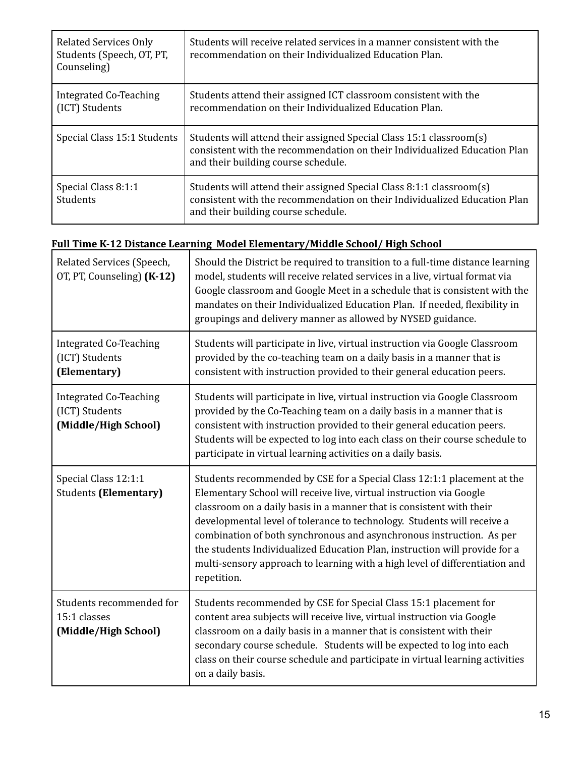| <b>Related Services Only</b><br>Students (Speech, OT, PT,<br>Counseling) | Students will receive related services in a manner consistent with the<br>recommendation on their Individualized Education Plan.                                                         |
|--------------------------------------------------------------------------|------------------------------------------------------------------------------------------------------------------------------------------------------------------------------------------|
| Integrated Co-Teaching<br>(ICT) Students                                 | Students attend their assigned ICT classroom consistent with the<br>recommendation on their Individualized Education Plan.                                                               |
| Special Class 15:1 Students                                              | Students will attend their assigned Special Class 15:1 classroom(s)<br>consistent with the recommendation on their Individualized Education Plan<br>and their building course schedule.  |
| Special Class 8:1:1<br>Students                                          | Students will attend their assigned Special Class 8:1:1 classroom(s)<br>consistent with the recommendation on their Individualized Education Plan<br>and their building course schedule. |

# **Full Time K-12 Distance Learning Model Elementary/Middle School/ High School**

| Related Services (Speech,<br>OT, PT, Counseling) (K-12)                 | Should the District be required to transition to a full-time distance learning<br>model, students will receive related services in a live, virtual format via<br>Google classroom and Google Meet in a schedule that is consistent with the<br>mandates on their Individualized Education Plan. If needed, flexibility in<br>groupings and delivery manner as allowed by NYSED guidance.                                                                                                                                                              |
|-------------------------------------------------------------------------|-------------------------------------------------------------------------------------------------------------------------------------------------------------------------------------------------------------------------------------------------------------------------------------------------------------------------------------------------------------------------------------------------------------------------------------------------------------------------------------------------------------------------------------------------------|
| <b>Integrated Co-Teaching</b><br>(ICT) Students<br>(Elementary)         | Students will participate in live, virtual instruction via Google Classroom<br>provided by the co-teaching team on a daily basis in a manner that is<br>consistent with instruction provided to their general education peers.                                                                                                                                                                                                                                                                                                                        |
| <b>Integrated Co-Teaching</b><br>(ICT) Students<br>(Middle/High School) | Students will participate in live, virtual instruction via Google Classroom<br>provided by the Co-Teaching team on a daily basis in a manner that is<br>consistent with instruction provided to their general education peers.<br>Students will be expected to log into each class on their course schedule to<br>participate in virtual learning activities on a daily basis.                                                                                                                                                                        |
| Special Class 12:1:1<br><b>Students (Elementary)</b>                    | Students recommended by CSE for a Special Class 12:1:1 placement at the<br>Elementary School will receive live, virtual instruction via Google<br>classroom on a daily basis in a manner that is consistent with their<br>developmental level of tolerance to technology. Students will receive a<br>combination of both synchronous and asynchronous instruction. As per<br>the students Individualized Education Plan, instruction will provide for a<br>multi-sensory approach to learning with a high level of differentiation and<br>repetition. |
| Students recommended for<br>15:1 classes<br>(Middle/High School)        | Students recommended by CSE for Special Class 15:1 placement for<br>content area subjects will receive live, virtual instruction via Google<br>classroom on a daily basis in a manner that is consistent with their<br>secondary course schedule. Students will be expected to log into each<br>class on their course schedule and participate in virtual learning activities<br>on a daily basis.                                                                                                                                                    |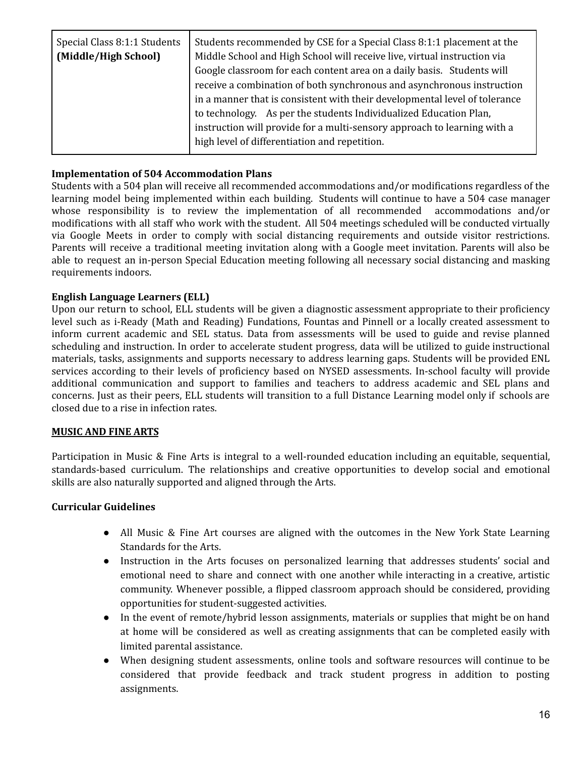| Special Class 8:1:1 Students<br>(Middle/High School) | Students recommended by CSE for a Special Class 8:1:1 placement at the<br>Middle School and High School will receive live, virtual instruction via<br>Google classroom for each content area on a daily basis. Students will<br>receive a combination of both synchronous and asynchronous instruction<br>in a manner that is consistent with their developmental level of tolerance<br>to technology. As per the students Individualized Education Plan, |
|------------------------------------------------------|-----------------------------------------------------------------------------------------------------------------------------------------------------------------------------------------------------------------------------------------------------------------------------------------------------------------------------------------------------------------------------------------------------------------------------------------------------------|
|                                                      | instruction will provide for a multi-sensory approach to learning with a<br>high level of differentiation and repetition.                                                                                                                                                                                                                                                                                                                                 |

# **Implementation of 504 Accommodation Plans**

Students with a 504 plan will receive all recommended accommodations and/or modifications regardless of the learning model being implemented within each building. Students will continue to have a 504 case manager whose responsibility is to review the implementation of all recommended accommodations and/or modifications with all staff who work with the student. All 504 meetings scheduled will be conducted virtually via Google Meets in order to comply with social distancing requirements and outside visitor restrictions. Parents will receive a traditional meeting invitation along with a Google meet invitation. Parents will also be able to request an in-person Special Education meeting following all necessary social distancing and masking requirements indoors.

# **English Language Learners (ELL)**

Upon our return to school, ELL students will be given a diagnostic assessment appropriate to their proficiency level such as i-Ready (Math and Reading) Fundations, Fountas and Pinnell or a locally created assessment to inform current academic and SEL status. Data from assessments will be used to guide and revise planned scheduling and instruction. In order to accelerate student progress, data will be utilized to guide instructional materials, tasks, assignments and supports necessary to address learning gaps. Students will be provided ENL services according to their levels of proficiency based on NYSED assessments. In-school faculty will provide additional communication and support to families and teachers to address academic and SEL plans and concerns. Just as their peers, ELL students will transition to a full Distance Learning model only if schools are closed due to a rise in infection rates.

#### **MUSIC AND FINE ARTS**

Participation in Music & Fine Arts is integral to a well-rounded education including an equitable, sequential, standards-based curriculum. The relationships and creative opportunities to develop social and emotional skills are also naturally supported and aligned through the Arts.

#### **Curricular Guidelines**

- All Music & Fine Art courses are aligned with the outcomes in the New York State Learning Standards for the Arts.
- Instruction in the Arts focuses on personalized learning that addresses students' social and emotional need to share and connect with one another while interacting in a creative, artistic community. Whenever possible, a flipped classroom approach should be considered, providing opportunities for student-suggested activities.
- In the event of remote/hybrid lesson assignments, materials or supplies that might be on hand at home will be considered as well as creating assignments that can be completed easily with limited parental assistance.
- When designing student assessments, online tools and software resources will continue to be considered that provide feedback and track student progress in addition to posting assignments.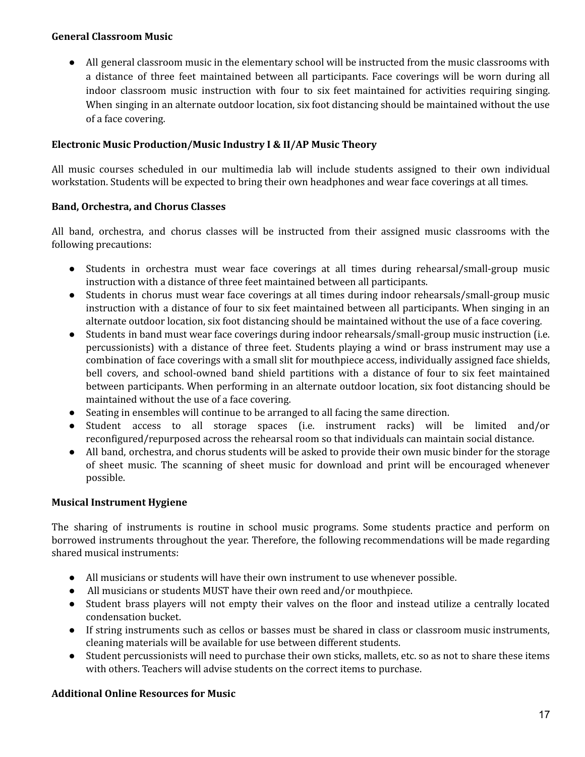#### **General Classroom Music**

● All general classroom music in the elementary school will be instructed from the music classrooms with a distance of three feet maintained between all participants. Face coverings will be worn during all indoor classroom music instruction with four to six feet maintained for activities requiring singing. When singing in an alternate outdoor location, six foot distancing should be maintained without the use of a face covering.

# **Electronic Music Production/Music Industry I & II/AP Music Theory**

All music courses scheduled in our multimedia lab will include students assigned to their own individual workstation. Students will be expected to bring their own headphones and wear face coverings at all times.

# **Band, Orchestra, and Chorus Classes**

All band, orchestra, and chorus classes will be instructed from their assigned music classrooms with the following precautions:

- Students in orchestra must wear face coverings at all times during rehearsal/small-group music instruction with a distance of three feet maintained between all participants.
- Students in chorus must wear face coverings at all times during indoor rehearsals/small-group music instruction with a distance of four to six feet maintained between all participants. When singing in an alternate outdoor location, six foot distancing should be maintained without the use of a face covering.
- Students in band must wear face coverings during indoor rehearsals/small-group music instruction (i.e. percussionists) with a distance of three feet. Students playing a wind or brass instrument may use a combination of face coverings with a small slit for mouthpiece access, individually assigned face shields, bell covers, and school-owned band shield partitions with a distance of four to six feet maintained between participants. When performing in an alternate outdoor location, six foot distancing should be maintained without the use of a face covering.
- Seating in ensembles will continue to be arranged to all facing the same direction.
- Student access to all storage spaces (i.e. instrument racks) will be limited and/or reconfigured/repurposed across the rehearsal room so that individuals can maintain social distance.
- All band, orchestra, and chorus students will be asked to provide their own music binder for the storage of sheet music. The scanning of sheet music for download and print will be encouraged whenever possible.

# **Musical Instrument Hygiene**

The sharing of instruments is routine in school music programs. Some students practice and perform on borrowed instruments throughout the year. Therefore, the following recommendations will be made regarding shared musical instruments:

- All musicians or students will have their own instrument to use whenever possible.
- All musicians or students MUST have their own reed and/or mouthpiece.
- Student brass players will not empty their valves on the floor and instead utilize a centrally located condensation bucket.
- If string instruments such as cellos or basses must be shared in class or classroom music instruments, cleaning materials will be available for use between different students.
- Student percussionists will need to purchase their own sticks, mallets, etc. so as not to share these items with others. Teachers will advise students on the correct items to purchase.

# **Additional Online Resources for Music**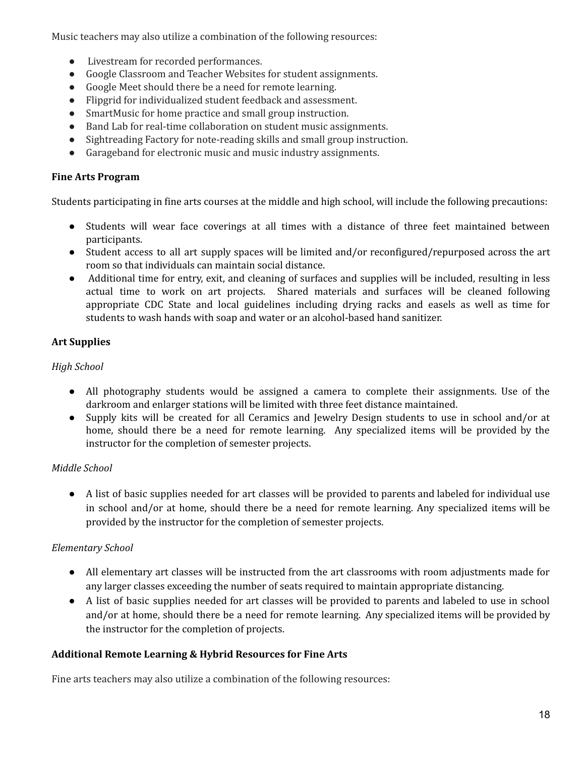Music teachers may also utilize a combination of the following resources:

- Livestream for recorded performances.
- Google Classroom and Teacher Websites for student assignments.
- Google Meet should there be a need for remote learning.
- Flipgrid for individualized student feedback and assessment.
- SmartMusic for home practice and small group instruction.
- Band Lab for real-time collaboration on student music assignments.
- Sightreading Factory for note-reading skills and small group instruction.
- Garageband for electronic music and music industry assignments.

## **Fine Arts Program**

Students participating in fine arts courses at the middle and high school, will include the following precautions:

- Students will wear face coverings at all times with a distance of three feet maintained between participants.
- Student access to all art supply spaces will be limited and/or reconfigured/repurposed across the art room so that individuals can maintain social distance.
- Additional time for entry, exit, and cleaning of surfaces and supplies will be included, resulting in less actual time to work on art projects. Shared materials and surfaces will be cleaned following appropriate CDC State and local guidelines including drying racks and easels as well as time for students to wash hands with soap and water or an alcohol-based hand sanitizer.

# **Art Supplies**

# *High School*

- All photography students would be assigned a camera to complete their assignments. Use of the darkroom and enlarger stations will be limited with three feet distance maintained.
- Supply kits will be created for all Ceramics and Jewelry Design students to use in school and/or at home, should there be a need for remote learning. Any specialized items will be provided by the instructor for the completion of semester projects.

# *Middle School*

● A list of basic supplies needed for art classes will be provided to parents and labeled for individual use in school and/or at home, should there be a need for remote learning. Any specialized items will be provided by the instructor for the completion of semester projects.

# *Elementary School*

- All elementary art classes will be instructed from the art classrooms with room adjustments made for any larger classes exceeding the number of seats required to maintain appropriate distancing.
- A list of basic supplies needed for art classes will be provided to parents and labeled to use in school and/or at home, should there be a need for remote learning. Any specialized items will be provided by the instructor for the completion of projects.

# **Additional Remote Learning & Hybrid Resources for Fine Arts**

Fine arts teachers may also utilize a combination of the following resources: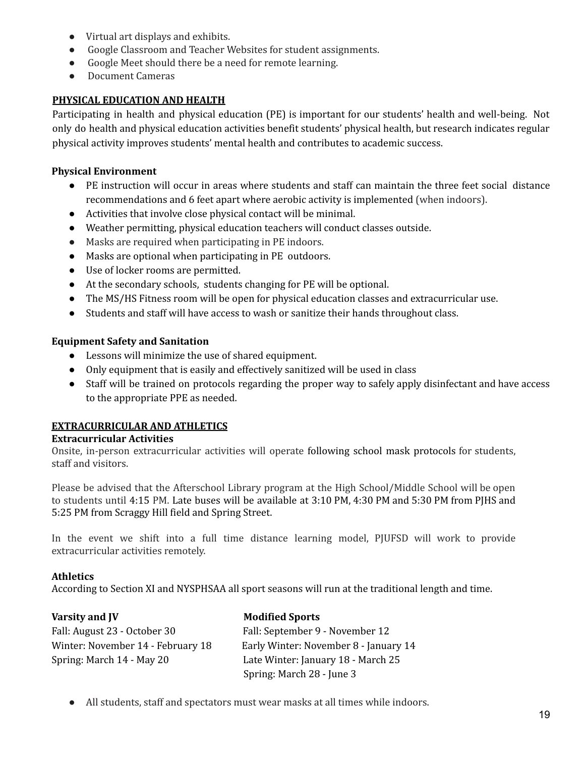- Virtual art displays and exhibits.
- Google Classroom and Teacher Websites for student assignments.
- Google Meet should there be a need for remote learning.
- Document Cameras

#### **PHYSICAL EDUCATION AND HEALTH**

Participating in health and physical education (PE) is important for our students' health and well-being. Not only do health and physical education activities benefit students' physical health, but research indicates regular physical activity improves students' mental health and contributes to academic success.

#### **Physical Environment**

- PE instruction will occur in areas where students and staff can maintain the three feet social distance recommendations and 6 feet apart where aerobic activity is implemented (when indoors).
- Activities that involve close physical contact will be minimal.
- Weather permitting, physical education teachers will conduct classes outside.
- Masks are required when participating in PE indoors.
- Masks are optional when participating in PE outdoors.
- Use of locker rooms are permitted.
- At the secondary schools, students changing for PE will be optional.
- The MS/HS Fitness room will be open for physical education classes and extracurricular use.
- Students and staff will have access to wash or sanitize their hands throughout class.

#### **Equipment Safety and Sanitation**

- Lessons will minimize the use of shared equipment.
- Only equipment that is easily and effectively sanitized will be used in class
- Staff will be trained on protocols regarding the proper way to safely apply disinfectant and have access to the appropriate PPE as needed.

#### **EXTRACURRICULAR AND ATHLETICS**

#### **Extracurricular Activities**

Onsite, in-person extracurricular activities will operate following school mask protocols for students, staff and visitors.

Please be advised that the Afterschool Library program at the High School/Middle School will be open to students until 4:15 PM. Late buses will be available at 3:10 PM, 4:30 PM and 5:30 PM from PJHS and 5:25 PM from Scraggy Hill field and Spring Street.

In the event we shift into a full time distance learning model, PJUFSD will work to provide extracurricular activities remotely.

#### **Athletics**

According to Section XI and NYSPHSAA all sport seasons will run at the traditional length and time.

| Varsity and JV                    | <b>Modified Sports</b>                |
|-----------------------------------|---------------------------------------|
| Fall: August 23 - October 30      | Fall: September 9 - November 12       |
| Winter: November 14 - February 18 | Early Winter: November 8 - January 14 |
| Spring: March 14 - May 20         | Late Winter: January 18 - March 25    |
|                                   | Spring: March 28 - June 3             |

● All students, staff and spectators must wear masks at all times while indoors.